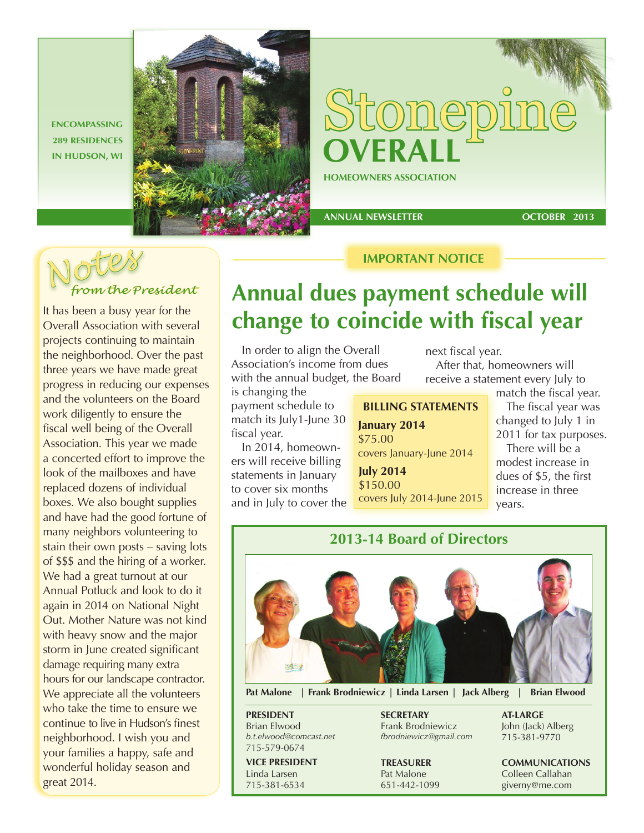**ENCOMPASSING 289 RESIDENCES** 



 **ANNUAL NEWSLETTER** 

**OCTOBER 2013**



It has been a busy year for the Overall Association with several projects continuing to maintain the neighborhood. Over the past three years we have made great progress in reducing our expenses and the volunteers on the Board work diligently to ensure the fiscal well being of the Overall Association. This year we made a concerted effort to improve the look of the mailboxes and have replaced dozens of individual boxes. We also bought supplies and have had the good fortune of many neighbors volunteering to stain their own posts – saving lots of \$\$\$ and the hiring of a worker. We had a great turnout at our Annual Potluck and look to do it again in 2014 on National Night Out. Mother Nature was not kind with heavy snow and the major storm in June created significant damage requiring many extra hours for our landscape contractor. We appreciate all the volunteers who take the time to ensure we continue to live in Hudson's finest neighborhood. I wish you and your families a happy, safe and wonderful holiday season and great 2014.

# **Annual dues payment schedule will change to coincide with fiscal year**

**IMPORTANT NOTICE**

In order to align the Overall Association's income from dues with the annual budget, the Board

is changing the payment schedule to match its July1-June 30 fiscal year.

In 2014, homeowners will receive billing statements in January to cover six months and in July to cover the

**BILLING STATEMENTS July 2014 January 2014** \$75.00 covers January-June 2014

\$150.00 covers July 2014-June 2015

next fiscal year. After that, homeowners will receive a statement every July to

match the fiscal year. The fiscal year was changed to July 1 in 2011 for tax purposes. There will be a

modest increase in dues of \$5, the first increase in three years.



**Pat Malone | Frank Brodniewicz | Linda Larsen | Jack Alberg | Brian Elwood**

**PRESIDENT** Brian Elwood *b.t.elwood@comcast.net* 715-579-0674

**VICE PRESIDENT** Linda Larsen 715-381-6534

**SECRETARY** Frank Brodniewicz *fbrodniewicz@gmail.com*

**TREASURER** Pat Malone 651-442-1099 **AT-LARGE** John (Jack) Alberg

715-381-9770

**COMMUNICATIONS** Colleen Callahan giverny@me.com